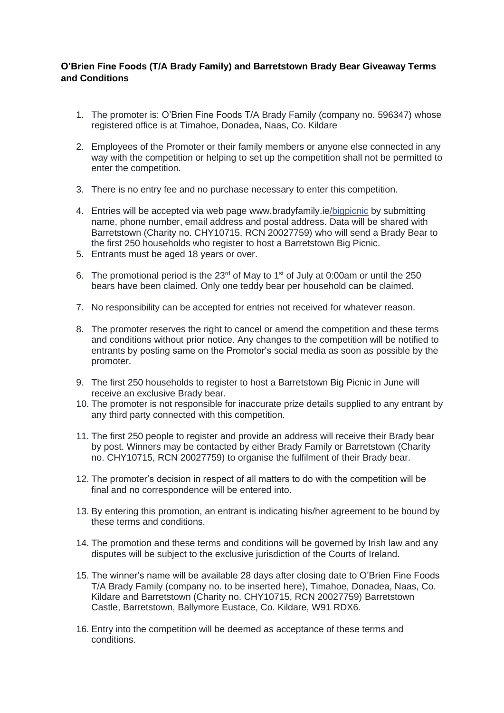## **O'Brien Fine Foods (T/A Brady Family) and Barretstown Brady Bear Giveaway Terms and Conditions**

- 1. The promoter is: O'Brien Fine Foods T/A Brady Family (company no. 596347) whose registered office is at Timahoe, Donadea, Naas, Co. Kildare
- 2. Employees of the Promoter or their family members or anyone else connected in any way with the competition or helping to set up the competition shall not be permitted to enter the competition.
- 3. There is no entry fee and no purchase necessary to enter this competition.
- 4. Entries will be accepted via web page www.bradyfamily.ie/bigpicnic by submitting name, phone number, email address and postal address. Data will be shared with Barretstown (Charity no. CHY10715, RCN 20027759) who will send a Brady Bear to the first 250 households who register to host a Barretstown Big Picnic.
- 5. Entrants must be aged 18 years or over.
- 6. The promotional period is the  $23<sup>rd</sup>$  of May to 1<sup>st</sup> of July at 0:00am or until the 250 bears have been claimed. Only one teddy bear per household can be claimed.
- 7. No responsibility can be accepted for entries not received for whatever reason.
- 8. The promoter reserves the right to cancel or amend the competition and these terms and conditions without prior notice. Any changes to the competition will be notified to entrants by posting same on the Promotor's social media as soon as possible by the promoter.
- 9. The first 250 households to register to host a Barretstown Big Picnic in June will receive an exclusive Brady bear.
- 10. The promoter is not responsible for inaccurate prize details supplied to any entrant by any third party connected with this competition.
- 11. The first 250 people to register and provide an address will receive their Brady bear by post. Winners may be contacted by either Brady Family or Barretstown (Charity no. CHY10715, RCN 20027759) to organise the fulfilment of their Brady bear.
- 12. The promoter's decision in respect of all matters to do with the competition will be final and no correspondence will be entered into.
- 13. By entering this promotion, an entrant is indicating his/her agreement to be bound by these terms and conditions.
- 14. The promotion and these terms and conditions will be governed by Irish law and any disputes will be subject to the exclusive jurisdiction of the Courts of Ireland.
- 15. The winner's name will be available 28 days after closing date to O'Brien Fine Foods T/A Brady Family (company no. to be inserted here), Timahoe, Donadea, Naas, Co. Kildare and Barretstown (Charity no. CHY10715, RCN 20027759) Barretstown Castle, Barretstown, Ballymore Eustace, Co. Kildare, W91 RDX6.
- 16. Entry into the competition will be deemed as acceptance of these terms and conditions.